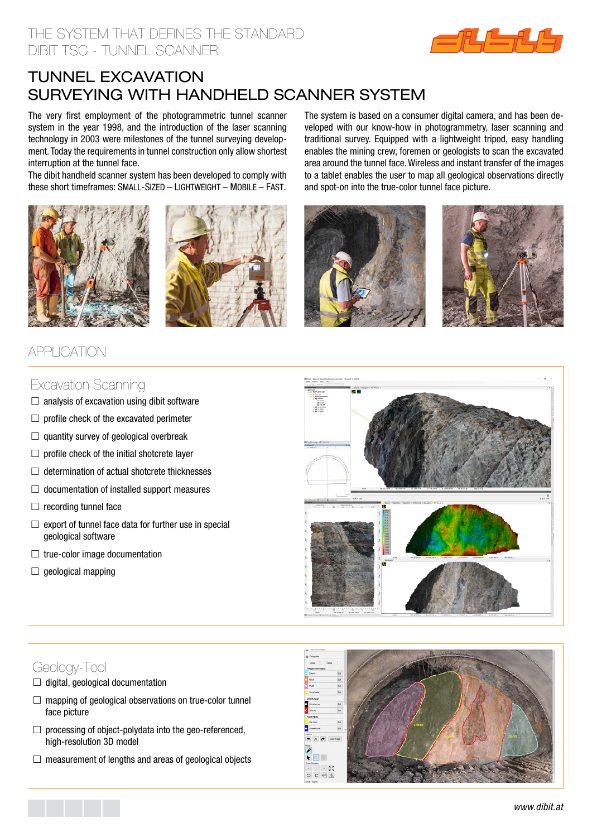### the system that defines the standard dibit tsc - tunnel scanner



# TUNNEL excavation surveying WITH HANDHELD scanner system

The very first employment of the photogrammetric tunnel scanner system in the year 1998, and the introduction of the laser scanning technology in 2003 were milestones of the tunnel surveying development. Today the requirements in tunnel construction only allow shortest interruption at the tunnel face.

The dibit handheld scanner system has been developed to comply with these short timeframes: SMALL-SIZED – LIGHTWEIGHT – MOBILE – FAST.





## APPI ICATION

#### The system is based on a consumer digital camera, and has been developed with our know-how in photogrammetry, laser scanning and traditional survey. Equipped with a lightweight tripod, easy handling enables the mining crew, foremen or geologists to scan the excavated area around the tunnel face. Wireless and instant transfer of the images to a tablet enables the user to map all geological observations directly and spot-on into the true-color tunnel face picture.





#### Excavation Scanning

- $\Box$  analysis of excavation using dibit software
- $\Box$  profile check of the excavated perimeter
- $\Box$  quantity survey of geological overbreak
- $\Box$  profile check of the initial shotcrete layer
- $\Box$  determination of actual shotcrete thicknesses
- $\Box$  documentation of installed support measures
- $\Box$  recording tunnel face
- $\Box$  export of tunnel face data for further use in special geological software
- $\Box$  true-color image documentation
- $\Box$  geological mapping



# Geology-Tool

- $\Box$  digital, geological documentation
- $\Box$  mapping of geological observations on true-color tunnel face picture
- $\Box$  processing of object-polydata into the geo-referenced, high-resolution 3D model
- $\Box$  measurement of lengths and areas of geological objects